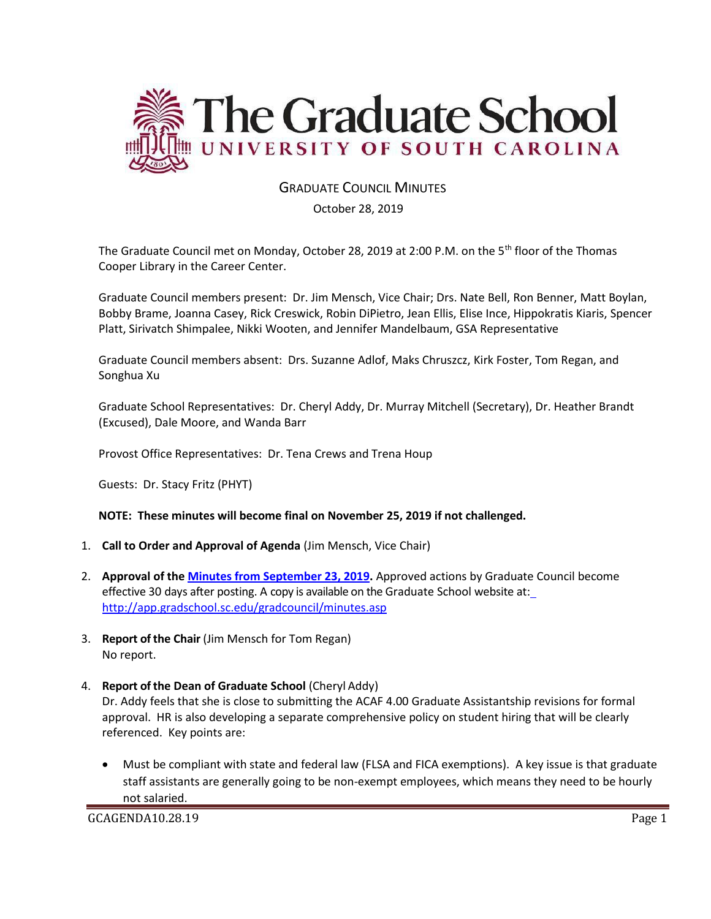

## GRADUATE COUNCIL MINUTES

October 28, 2019

The Graduate Council met on Monday, October 28, 2019 at 2:00 P.M. on the 5th floor of the Thomas Cooper Library in the Career Center.

Graduate Council members present: Dr. Jim Mensch, Vice Chair; Drs. Nate Bell, Ron Benner, Matt Boylan, Bobby Brame, Joanna Casey, Rick Creswick, Robin DiPietro, Jean Ellis, Elise Ince, Hippokratis Kiaris, Spencer Platt, Sirivatch Shimpalee, Nikki Wooten, and Jennifer Mandelbaum, GSA Representative

Graduate Council members absent: Drs. Suzanne Adlof, Maks Chruszcz, Kirk Foster, Tom Regan, and Songhua Xu

Graduate School Representatives: Dr. Cheryl Addy, Dr. Murray Mitchell (Secretary), Dr. Heather Brandt (Excused), Dale Moore, and Wanda Barr

Provost Office Representatives: Dr. Tena Crews and Trena Houp

Guests: Dr. Stacy Fritz (PHYT)

#### **NOTE: These minutes will become final on November 25, 2019 if not challenged.**

- 1. **Call to Order and Approval of Agenda** (Jim Mensch, Vice Chair)
- 2. **Approval of the [Minutes from September 23, 2019.](file:///C:/Users/wandab/AppData/Local/Microsoft/Windows/INetCache/Content.Outlook/43K4JUJC/Grad%20Council%20Minutes/GCMINUTESEP232019%20MM2.pdf)** Approved actions by Graduate Council become effective 30 days after posting. A copy is available on the Graduate School website at: <http://app.gradschool.sc.edu/gradcouncil/minutes.asp>
- 3. **Report of the Chair** (Jim Mensch for Tom Regan) No report.
- 4. **Report of the Dean of Graduate School** (Cheryl Addy)

Dr. Addy feels that she is close to submitting the ACAF 4.00 Graduate Assistantship revisions for formal approval. HR is also developing a separate comprehensive policy on student hiring that will be clearly referenced. Key points are:

• Must be compliant with state and federal law (FLSA and FICA exemptions). A key issue is that graduate staff assistants are generally going to be non-exempt employees, which means they need to be hourly not salaried.

GCAGENDA10.28.19 Page 1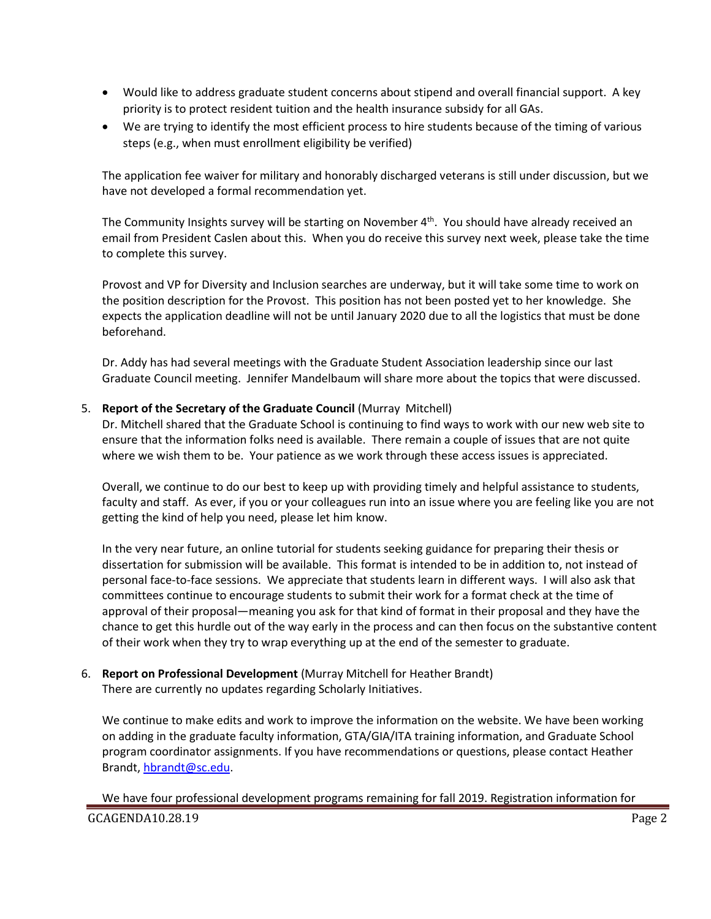- Would like to address graduate student concerns about stipend and overall financial support. A key priority is to protect resident tuition and the health insurance subsidy for all GAs.
- We are trying to identify the most efficient process to hire students because of the timing of various steps (e.g., when must enrollment eligibility be verified)

The application fee waiver for military and honorably discharged veterans is still under discussion, but we have not developed a formal recommendation yet.

The Community Insights survey will be starting on November 4<sup>th</sup>. You should have already received an email from President Caslen about this. When you do receive this survey next week, please take the time to complete this survey.

Provost and VP for Diversity and Inclusion searches are underway, but it will take some time to work on the position description for the Provost. This position has not been posted yet to her knowledge. She expects the application deadline will not be until January 2020 due to all the logistics that must be done beforehand.

Dr. Addy has had several meetings with the Graduate Student Association leadership since our last Graduate Council meeting. Jennifer Mandelbaum will share more about the topics that were discussed.

### 5. **Report of the Secretary of the Graduate Council** (Murray Mitchell)

Dr. Mitchell shared that the Graduate School is continuing to find ways to work with our new web site to ensure that the information folks need is available. There remain a couple of issues that are not quite where we wish them to be. Your patience as we work through these access issues is appreciated.

Overall, we continue to do our best to keep up with providing timely and helpful assistance to students, faculty and staff. As ever, if you or your colleagues run into an issue where you are feeling like you are not getting the kind of help you need, please let him know.

In the very near future, an online tutorial for students seeking guidance for preparing their thesis or dissertation for submission will be available. This format is intended to be in addition to, not instead of personal face-to-face sessions. We appreciate that students learn in different ways. I will also ask that committees continue to encourage students to submit their work for a format check at the time of approval of their proposal—meaning you ask for that kind of format in their proposal and they have the chance to get this hurdle out of the way early in the process and can then focus on the substantive content of their work when they try to wrap everything up at the end of the semester to graduate.

## 6. **Report on Professional Development** (Murray Mitchell for Heather Brandt) There are currently no updates regarding Scholarly Initiatives.

We continue to make edits and work to improve the information on the website. We have been working on adding in the graduate faculty information, GTA/GIA/ITA training information, and Graduate School program coordinator assignments. If you have recommendations or questions, please contact Heather Brandt[, hbrandt@sc.edu.](mailto:hbrandt@sc.edu)

GCAGENDA10.28.19 Page 2 We have four professional development programs remaining for fall 2019. Registration information for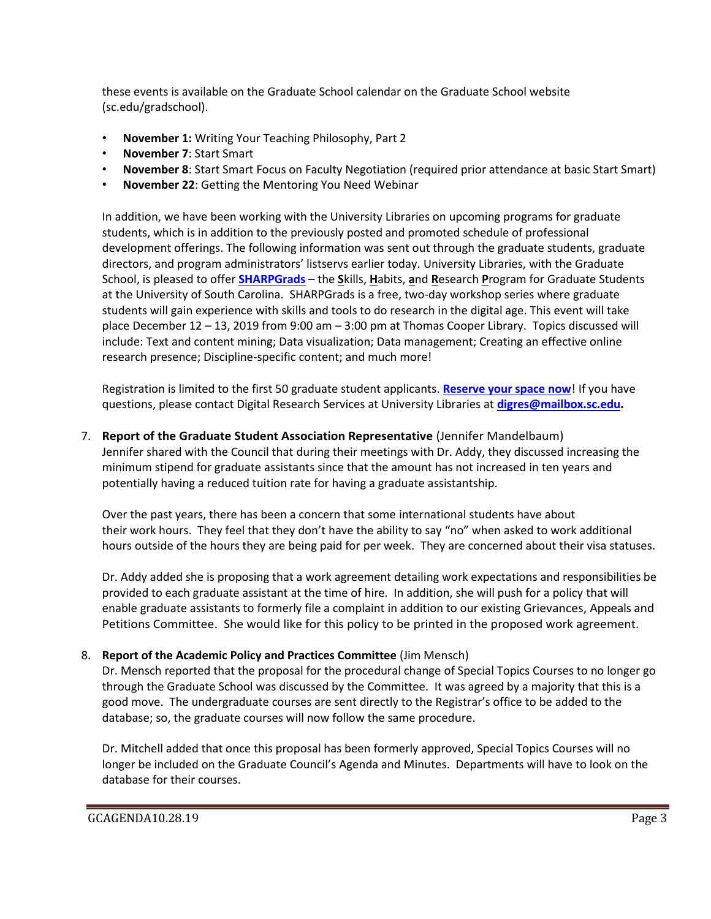these events is available on the Graduate School calendar on the Graduate School website (sc.edu/gradschool).

- **November 1:** Writing Your Teaching Philosophy, Part 2
- **November 7**: Start Smart
- **November 8**: Start Smart Focus on Faculty Negotiation (required prior attendance at basic Start Smart)
- **November 22**: Getting the Mentoring You Need Webinar

In addition, we have been working with the University Libraries on upcoming programs for graduate students, which is in addition to the previously posted and promoted schedule of professional development offerings. The following information was sent out through the graduate students, graduate directors, and program administrators' listservs earlier today. University Libraries, with the Graduate School, is pleased to offer **[SHARPGrads](http://guides.library.sc.edu/sharpgrads)** – the **S**kills, **H**abits, **a**nd **R**esearch **P**rogram for Graduate Students at the University of South Carolina. SHARPGrads is a free, two-day workshop series where graduate students will gain experience with skills and tools to do research in the digital age. This event will take place December 12 – 13, 2019 from 9:00 am – 3:00 pm at Thomas Cooper Library. Topics discussed will include: Text and content mining; Data visualization; Data management; Creating an effective online research presence; Discipline-specific content; and much more!

Registration is limited to the first 50 graduate student applicants. **[Reserve your space now](https://forms.gle/Q3NSkpVUurY2HpDu8)**! If you have questions, please contact Digital Research Services at University Libraries at **[digres@mailbox.sc.edu.](mailto:digres@mailbox.sc.edu)** 

7. **Report of the Graduate Student Association Representative** (Jennifer Mandelbaum) Jennifer shared with the Council that during their meetings with Dr. Addy, they discussed increasing the minimum stipend for graduate assistants since that the amount has not increased in ten years and potentially having a reduced tuition rate for having a graduate assistantship.

Over the past years, there has been a concern that some international students have about their work hours. They feel that they don't have the ability to say "no" when asked to work additional hours outside of the hours they are being paid for per week. They are concerned about their visa statuses.

Dr. Addy added she is proposing that a work agreement detailing work expectations and responsibilities be provided to each graduate assistant at the time of hire. In addition, she will push for a policy that will enable graduate assistants to formerly file a complaint in addition to our existing Grievances, Appeals and Petitions Committee. She would like for this policy to be printed in the proposed work agreement.

# 8. **Report of the Academic Policy and Practices Committee** (Jim Mensch)

Dr. Mensch reported that the proposal for the procedural change of Special Topics Courses to no longer go through the Graduate School was discussed by the Committee. It was agreed by a majority that this is a good move. The undergraduate courses are sent directly to the Registrar's office to be added to the database; so, the graduate courses will now follow the same procedure.

Dr. Mitchell added that once this proposal has been formerly approved, Special Topics Courses will no longer be included on the Graduate Council's Agenda and Minutes. Departments will have to look on the database for their courses.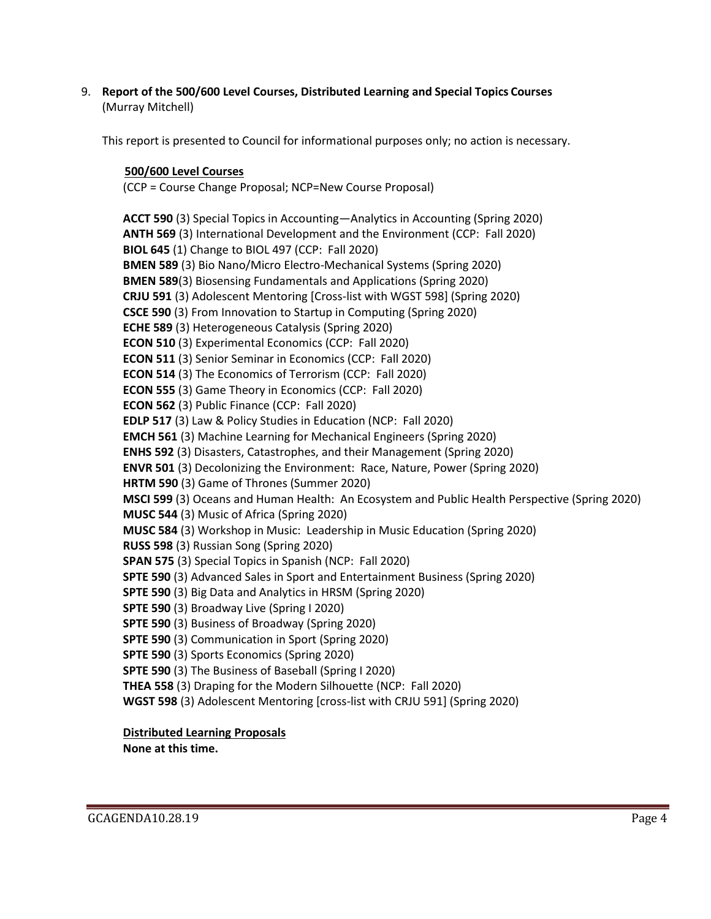9. **Report of the 500/600 Level Courses, Distributed Learning and Special Topics Courses** (Murray Mitchell)

This report is presented to Council for informational purposes only; no action is necessary.

## **500/600 Level Courses**

(CCP = Course Change Proposal; NCP=New Course Proposal)

**ACCT 590** (3) Special Topics in Accounting—Analytics in Accounting (Spring 2020) **ANTH 569** (3) International Development and the Environment (CCP: Fall 2020) **BIOL 645** (1) Change to BIOL 497 (CCP: Fall 2020) **BMEN 589** (3) Bio Nano/Micro Electro-Mechanical Systems (Spring 2020) **BMEN 589**(3) Biosensing Fundamentals and Applications (Spring 2020) **CRJU 591** (3) Adolescent Mentoring [Cross-list with WGST 598] (Spring 2020) **CSCE 590** (3) From Innovation to Startup in Computing (Spring 2020) **ECHE 589** (3) Heterogeneous Catalysis (Spring 2020) **ECON 510** (3) Experimental Economics (CCP: Fall 2020) **ECON 511** (3) Senior Seminar in Economics (CCP: Fall 2020) **ECON 514** (3) The Economics of Terrorism (CCP: Fall 2020) **ECON 555** (3) Game Theory in Economics (CCP: Fall 2020) **ECON 562** (3) Public Finance (CCP: Fall 2020) **EDLP 517** (3) Law & Policy Studies in Education (NCP: Fall 2020) **EMCH 561** (3) Machine Learning for Mechanical Engineers (Spring 2020) **ENHS 592** (3) Disasters, Catastrophes, and their Management (Spring 2020) **ENVR 501** (3) Decolonizing the Environment: Race, Nature, Power (Spring 2020) **HRTM 590** (3) Game of Thrones (Summer 2020) **MSCI 599** (3) Oceans and Human Health: An Ecosystem and Public Health Perspective (Spring 2020) **MUSC 544** (3) Music of Africa (Spring 2020) **MUSC 584** (3) Workshop in Music: Leadership in Music Education (Spring 2020) **RUSS 598** (3) Russian Song (Spring 2020) **SPAN 575** (3) Special Topics in Spanish (NCP: Fall 2020) **SPTE 590** (3) Advanced Sales in Sport and Entertainment Business (Spring 2020) **SPTE 590** (3) Big Data and Analytics in HRSM (Spring 2020) **SPTE 590** (3) Broadway Live (Spring I 2020) **SPTE 590** (3) Business of Broadway (Spring 2020) **SPTE 590** (3) Communication in Sport (Spring 2020) **SPTE 590** (3) Sports Economics (Spring 2020) **SPTE 590** (3) The Business of Baseball (Spring I 2020) **THEA 558** (3) Draping for the Modern Silhouette (NCP: Fall 2020) **WGST 598** (3) Adolescent Mentoring [cross-list with CRJU 591] (Spring 2020)

## **Distributed Learning Proposals**

**None at this time.**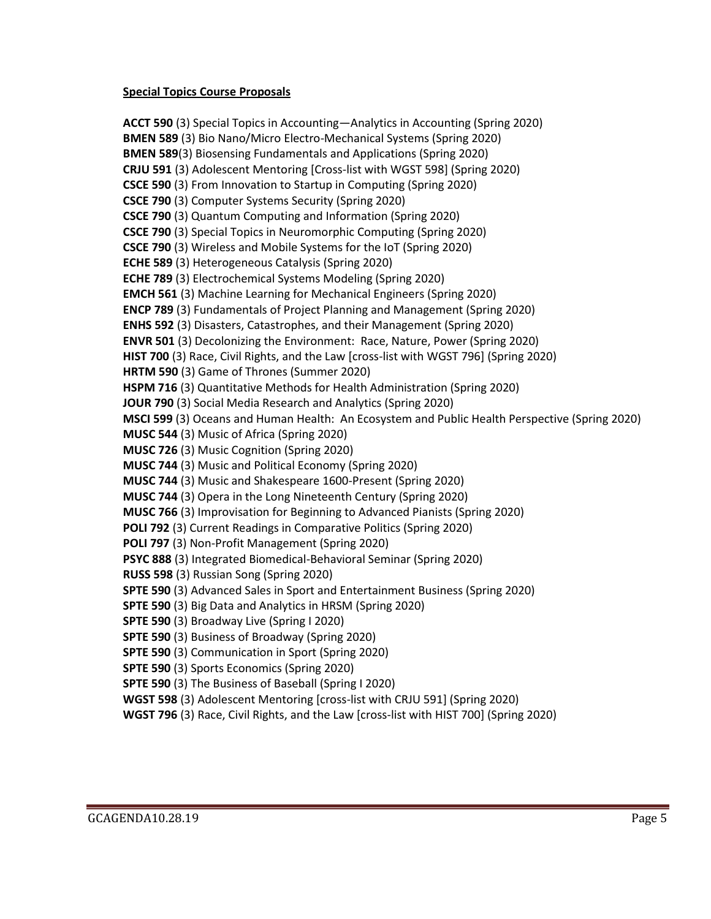#### **Special Topics Course Proposals**

**ACCT 590** (3) Special Topics in Accounting—Analytics in Accounting (Spring 2020) **BMEN 589** (3) Bio Nano/Micro Electro-Mechanical Systems (Spring 2020) **BMEN 589**(3) Biosensing Fundamentals and Applications (Spring 2020) **CRJU 591** (3) Adolescent Mentoring [Cross-list with WGST 598] (Spring 2020) **CSCE 590** (3) From Innovation to Startup in Computing (Spring 2020) **CSCE 790** (3) Computer Systems Security (Spring 2020) **CSCE 790** (3) Quantum Computing and Information (Spring 2020) **CSCE 790** (3) Special Topics in Neuromorphic Computing (Spring 2020) **CSCE 790** (3) Wireless and Mobile Systems for the IoT (Spring 2020) **ECHE 589** (3) Heterogeneous Catalysis (Spring 2020) **ECHE 789** (3) Electrochemical Systems Modeling (Spring 2020) **EMCH 561** (3) Machine Learning for Mechanical Engineers (Spring 2020) **ENCP 789** (3) Fundamentals of Project Planning and Management (Spring 2020) **ENHS 592** (3) Disasters, Catastrophes, and their Management (Spring 2020) **ENVR 501** (3) Decolonizing the Environment: Race, Nature, Power (Spring 2020) **HIST 700** (3) Race, Civil Rights, and the Law [cross-list with WGST 796] (Spring 2020) **HRTM 590** (3) Game of Thrones (Summer 2020) **HSPM 716** (3) Quantitative Methods for Health Administration (Spring 2020) **JOUR 790** (3) Social Media Research and Analytics (Spring 2020) **MSCI 599** (3) Oceans and Human Health: An Ecosystem and Public Health Perspective (Spring 2020) **MUSC 544** (3) Music of Africa (Spring 2020) **MUSC 726** (3) Music Cognition (Spring 2020) **MUSC 744** (3) Music and Political Economy (Spring 2020) **MUSC 744** (3) Music and Shakespeare 1600-Present (Spring 2020) **MUSC 744** (3) Opera in the Long Nineteenth Century (Spring 2020) **MUSC 766** (3) Improvisation for Beginning to Advanced Pianists (Spring 2020) **POLI 792** (3) Current Readings in Comparative Politics (Spring 2020) **POLI 797** (3) Non-Profit Management (Spring 2020) **PSYC 888** (3) Integrated Biomedical-Behavioral Seminar (Spring 2020) **RUSS 598** (3) Russian Song (Spring 2020) **SPTE 590** (3) Advanced Sales in Sport and Entertainment Business (Spring 2020) **SPTE 590** (3) Big Data and Analytics in HRSM (Spring 2020) **SPTE 590** (3) Broadway Live (Spring I 2020) **SPTE 590** (3) Business of Broadway (Spring 2020) **SPTE 590** (3) Communication in Sport (Spring 2020) **SPTE 590** (3) Sports Economics (Spring 2020) **SPTE 590** (3) The Business of Baseball (Spring I 2020) **WGST 598** (3) Adolescent Mentoring [cross-list with CRJU 591] (Spring 2020)

**WGST 796** (3) Race, Civil Rights, and the Law [cross-list with HIST 700] (Spring 2020)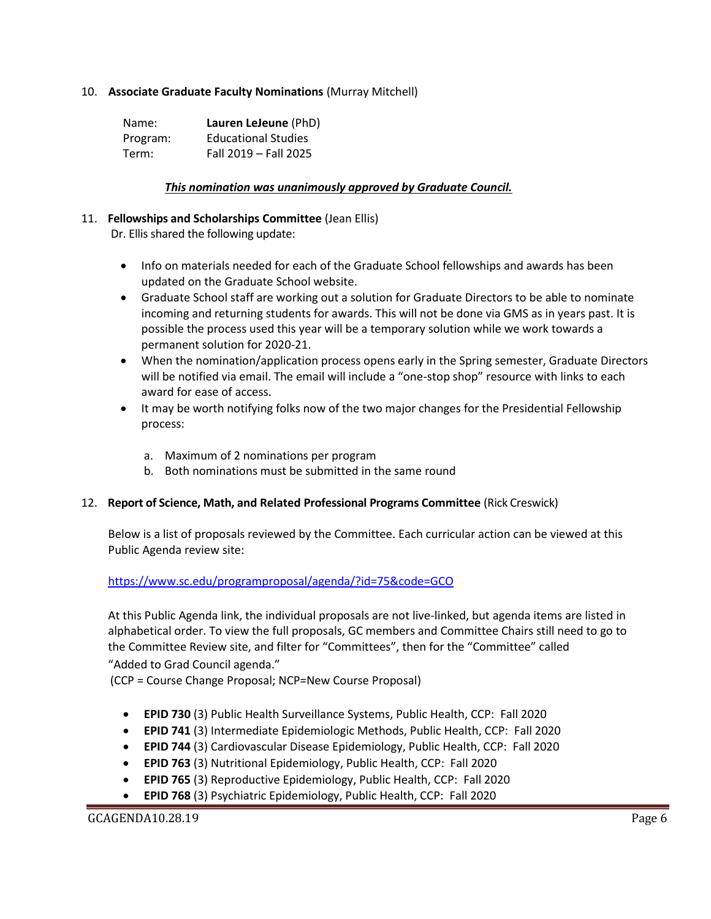### 10. **Associate Graduate Faculty Nominations** (Murray Mitchell)

| Name:    | Lauren LeJeune (PhD)       |
|----------|----------------------------|
| Program: | <b>Educational Studies</b> |
| Term:    | Fall 2019 - Fall 2025      |

#### *This nomination was unanimously approved by Graduate Council.*

#### 11. **Fellowships and Scholarships Committee** (Jean Ellis)

Dr. Ellis shared the following update:

- Info on materials needed for each of the Graduate School fellowships and awards has been updated on the Graduate School website.
- Graduate School staff are working out a solution for Graduate Directors to be able to nominate incoming and returning students for awards. This will not be done via GMS as in years past. It is possible the process used this year will be a temporary solution while we work towards a permanent solution for 2020-21.
- When the nomination/application process opens early in the Spring semester, Graduate Directors will be notified via email. The email will include a "one-stop shop" resource with links to each award for ease of access.
- It may be worth notifying folks now of the two major changes for the Presidential Fellowship process:
	- a. Maximum of 2 nominations per program
	- b. Both nominations must be submitted in the same round

#### 12. **Report of Science, Math, and Related Professional Programs Committee** (Rick Creswick)

Below is a list of proposals reviewed by the Committee. Each curricular action can be viewed at this Public Agenda review site:

<https://www.sc.edu/programproposal/agenda/?id=75&code=GCO>

At this Public Agenda link, the individual proposals are not live-linked, but agenda items are listed in alphabetical order. To view the full proposals, GC members and Committee Chairs still need to go to the Committee Review site, and filter for "Committees", then for the "Committee" called "Added to Grad Council agenda."

(CCP = Course Change Proposal; NCP=New Course Proposal)

- **EPID 730** (3) Public Health Surveillance Systems, Public Health, CCP: Fall 2020
- **EPID 741** (3) Intermediate Epidemiologic Methods, Public Health, CCP: Fall 2020
- **EPID 744** (3) Cardiovascular Disease Epidemiology, Public Health, CCP: Fall 2020
- **EPID 763** (3) Nutritional Epidemiology, Public Health, CCP: Fall 2020
- **EPID 765** (3) Reproductive Epidemiology, Public Health, CCP: Fall 2020
- **EPID 768** (3) Psychiatric Epidemiology, Public Health, CCP: Fall 2020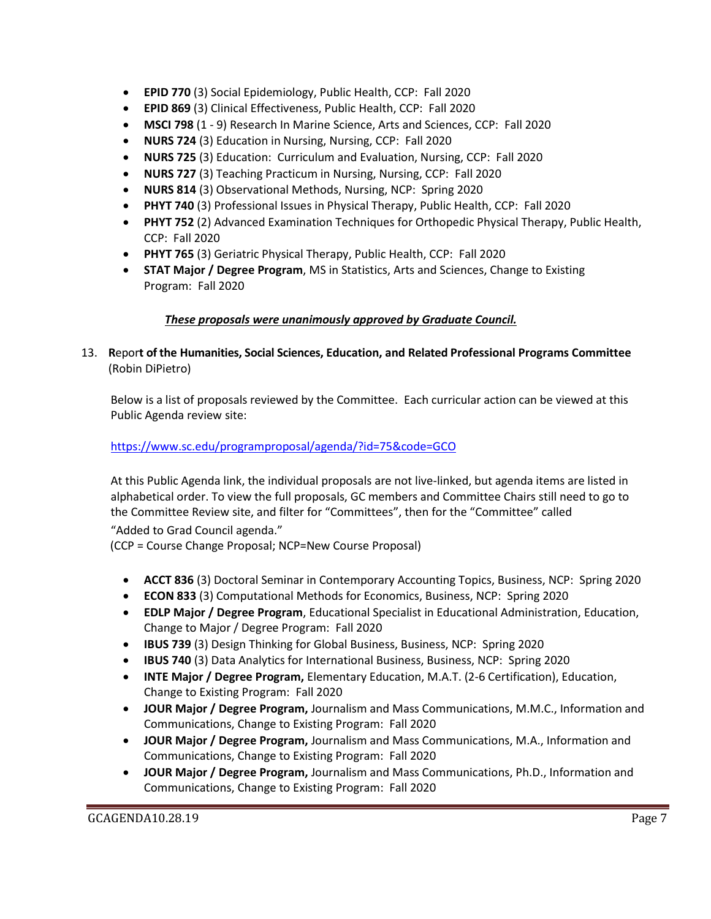- **EPID 770** (3) Social Epidemiology, Public Health, CCP: Fall 2020
- **EPID 869** (3) Clinical Effectiveness, Public Health, CCP: Fall 2020
- **MSCI 798** (1 9) Research In Marine Science, Arts and Sciences, CCP: Fall 2020
- **NURS 724** (3) Education in Nursing, Nursing, CCP: Fall 2020
- **NURS 725** (3) Education: Curriculum and Evaluation, Nursing, CCP: Fall 2020
- **NURS 727** (3) Teaching Practicum in Nursing, Nursing, CCP: Fall 2020
- **NURS 814** (3) Observational Methods, Nursing, NCP: Spring 2020
- **PHYT 740** (3) Professional Issues in Physical Therapy, Public Health, CCP: Fall 2020
- **PHYT 752** (2) Advanced Examination Techniques for Orthopedic Physical Therapy, Public Health, CCP: Fall 2020
- **PHYT 765** (3) Geriatric Physical Therapy, Public Health, CCP: Fall 2020
- **STAT Major / Degree Program**, MS in Statistics, Arts and Sciences, Change to Existing Program: Fall 2020

## *These proposals were unanimously approved by Graduate Council.*

## 13. **R**epor**t of the Humanities, Social Sciences, Education, and Related Professional Programs Committee**  (Robin DiPietro)

Below is a list of proposals reviewed by the Committee. Each curricular action can be viewed at this Public Agenda review site:

## <https://www.sc.edu/programproposal/agenda/?id=75&code=GCO>

At this Public Agenda link, the individual proposals are not live-linked, but agenda items are listed in alphabetical order. To view the full proposals, GC members and Committee Chairs still need to go to the Committee Review site, and filter for "Committees", then for the "Committee" called

"Added to Grad Council agenda."

(CCP = Course Change Proposal; NCP=New Course Proposal)

- **ACCT 836** (3) Doctoral Seminar in Contemporary Accounting Topics, Business, NCP: Spring 2020
- **ECON 833** (3) Computational Methods for Economics, Business, NCP: Spring 2020
- **EDLP Major / Degree Program**, Educational Specialist in Educational Administration, Education, Change to Major / Degree Program: Fall 2020
- **IBUS 739** (3) Design Thinking for Global Business, Business, NCP: Spring 2020
- **IBUS 740** (3) Data Analytics for International Business, Business, NCP: Spring 2020
- **INTE Major / Degree Program,** Elementary Education, M.A.T. (2-6 Certification), Education, Change to Existing Program: Fall 2020
- **JOUR Major / Degree Program,** Journalism and Mass Communications, M.M.C., Information and Communications, Change to Existing Program: Fall 2020
- **JOUR Major / Degree Program,** Journalism and Mass Communications, M.A., Information and Communications, Change to Existing Program: Fall 2020
- **JOUR Major / Degree Program,** Journalism and Mass Communications, Ph.D., Information and Communications, Change to Existing Program: Fall 2020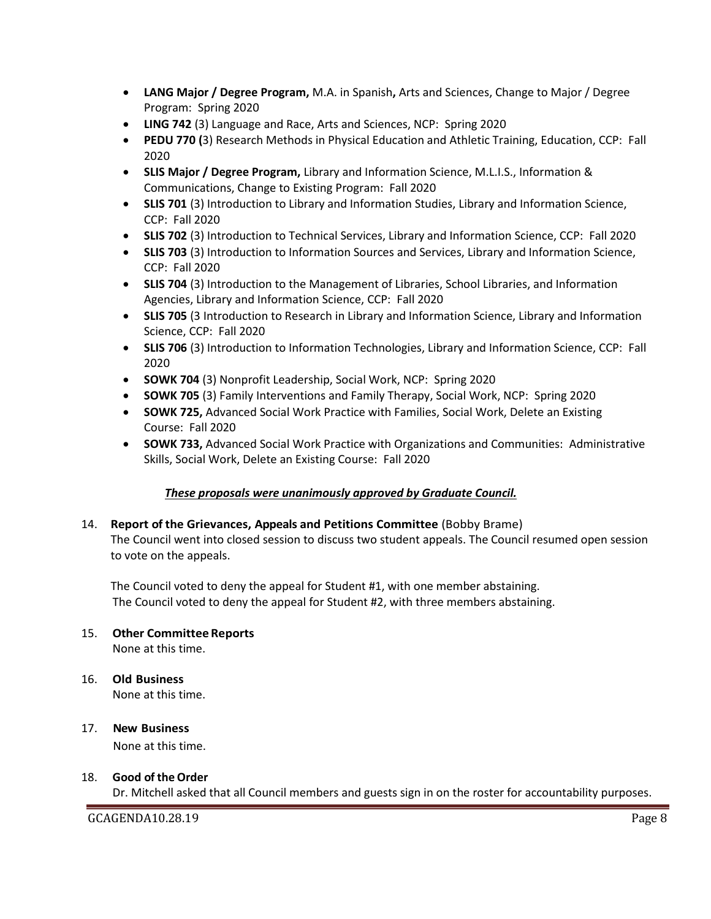- **LANG Major / Degree Program,** M.A. in Spanish**,** Arts and Sciences, Change to Major / Degree Program: Spring 2020
- **LING 742** (3) Language and Race, Arts and Sciences, NCP: Spring 2020
- **PEDU 770 (**3) Research Methods in Physical Education and Athletic Training, Education, CCP: Fall 2020
- **SLIS Major / Degree Program,** Library and Information Science, M.L.I.S., Information & Communications, Change to Existing Program: Fall 2020
- **SLIS 701** (3) Introduction to Library and Information Studies, Library and Information Science, CCP: Fall 2020
- **SLIS 702** (3) Introduction to Technical Services, Library and Information Science, CCP: Fall 2020
- **SLIS 703** (3) Introduction to Information Sources and Services, Library and Information Science, CCP: Fall 2020
- **SLIS 704** (3) Introduction to the Management of Libraries, School Libraries, and Information Agencies, Library and Information Science, CCP: Fall 2020
- **SLIS 705** (3 Introduction to Research in Library and Information Science, Library and Information Science, CCP: Fall 2020
- **SLIS 706** (3) Introduction to Information Technologies, Library and Information Science, CCP: Fall 2020
- **SOWK 704** (3) Nonprofit Leadership, Social Work, NCP: Spring 2020
- **SOWK 705** (3) Family Interventions and Family Therapy, Social Work, NCP: Spring 2020
- **SOWK 725,** Advanced Social Work Practice with Families, Social Work, Delete an Existing Course: Fall 2020
- **SOWK 733,** Advanced Social Work Practice with Organizations and Communities: Administrative Skills, Social Work, Delete an Existing Course: Fall 2020

## *These proposals were unanimously approved by Graduate Council.*

## 14. **Report of the Grievances, Appeals and Petitions Committee** (Bobby Brame) The Council went into closed session to discuss two student appeals. The Council resumed open session to vote on the appeals.

The Council voted to deny the appeal for Student #1, with one member abstaining. The Council voted to deny the appeal for Student #2, with three members abstaining.

# 15. **Other Committee Reports**

None at this time.

#### 16. **Old Business** None at this time.

17. **New Business** None at this time.

#### 18. **Good of the Order**

Dr. Mitchell asked that all Council members and guests sign in on the roster for accountability purposes.